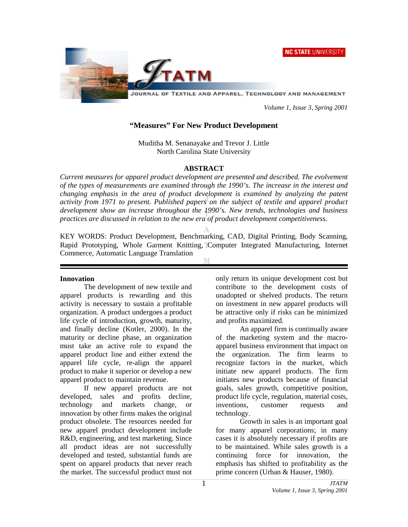



JOURNAL OF TEXTILE AND APPAREL, TECHNOLOGY AND MANAGEMENT

 *Volume 1, Issue 3, Spring 2001* 

#### **"Measures" For New Product Development**

Muditha M. Senanayake and Trevor J. Little North Carolina State University

#### **ABSTRACT**

*Current measures for apparel product development are presented and described. The evolvement of the types of measurements are examined through the 1990's. The increase in the interest and changing emphasis in the area of product development is examined by analyzing the patent activity from 1971 to present. Published papers on the subject of textile and apparel product development show an increase throughout the 1990's. New trends, technologies and business practices are discussed in relation to the new era of product development competitiveness.*

KEY WORDS: Product Development, Benchmarking, CAD, Digital Printing, Body Scanning, Rapid Prototyping, Whole Garment Knitting, Computer Integrated Manufacturing, Internet Commerce, Automatic Language Translation

#### **Innovation**

 The development of new textile and apparel products is rewarding and this activity is necessary to sustain a profitable organization. A product undergoes a product life cycle of introduction, growth, maturity, and finally decline (Kotler, 2000). In the maturity or decline phase, an organization must take an active role to expand the apparel product line and either extend the apparel life cycle, re-align the apparel product to make it superior or develop a new apparel product to maintain revenue.

If new apparel products are not developed, sales and profits decline, technology and markets change, or innovation by other firms makes the original product obsolete. The resources needed for new apparel product development include R&D, engineering, and test marketing. Since all product ideas are not successfully developed and tested, substantial funds are spent on apparel products that never reach the market. The successful product must not

only return its unique development cost but contribute to the development costs of unadopted or shelved products. The return on investment in new apparel products will be attractive only if risks can be minimized and profits maximized.

 An apparel firm is continually aware of the marketing system and the macroapparel business environment that impact on the organization. The firm learns to recognize factors in the market, which initiate new apparel products. The firm initiates new products because of financial goals, sales growth, competitive position, product life cycle, regulation, material costs, inventions, customer requests and technology.

Growth in sales is an important goal for many apparel corporations; in many cases it is absolutely necessary if profits are to be maintained. While sales growth is a continuing force for innovation, the emphasis has shifted to profitability as the prime concern (Urban & Hauser, 1980).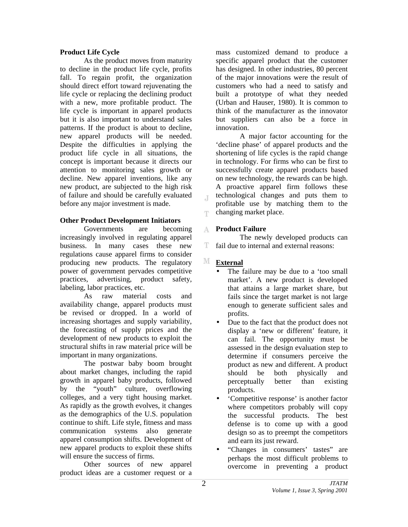## **Product Life Cycle**

 As the product moves from maturity to decline in the product life cycle, profits fall. To regain profit, the organization should direct effort toward rejuvenating the life cycle or replacing the declining product with a new, more profitable product. The life cycle is important in apparel products but it is also important to understand sales patterns. If the product is about to decline, new apparel products will be needed. Despite the difficulties in applying the product life cycle in all situations, the concept is important because it directs our attention to monitoring sales growth or decline. New apparel inventions, like any new product, are subjected to the high risk of failure and should be carefully evaluated before any major investment is made.

## **Other Product Development Initiators**

Governments are becoming increasingly involved in regulating apparel business. In many cases these new regulations cause apparel firms to consider producing new products. The regulatory power of government pervades competitive practices, advertising, product safety, labeling, labor practices, etc.

As raw material costs and availability change, apparel products must be revised or dropped. In a world of increasing shortages and supply variability, the forecasting of supply prices and the development of new products to exploit the structural shifts in raw material price will be important in many organizations.

 The postwar baby boom brought about market changes, including the rapid growth in apparel baby products, followed by the "youth" culture, overflowing colleges, and a very tight housing market. As rapidly as the growth evolves, it changes as the demographics of the U.S. population continue to shift. Life style, fitness and mass communication systems also generate apparel consumption shifts. Development of new apparel products to exploit these shifts will ensure the success of firms.

 Other sources of new apparel product ideas are a customer request or a

mass customized demand to produce a specific apparel product that the customer has designed. In other industries, 80 percent of the major innovations were the result of customers who had a need to satisfy and built a prototype of what they needed (Urban and Hauser, 1980). It is common to think of the manufacturer as the innovator but suppliers can also be a force in innovation.

A major factor accounting for the 'decline phase' of apparel products and the shortening of life cycles is the rapid change in technology. For firms who can be first to successfully create apparel products based on new technology, the rewards can be high. A proactive apparel firm follows these technological changes and puts them to profitable use by matching them to the changing market place.

#### **Product Failure**   $\Lambda$

 The newly developed products can T. fail due to internal and external reasons:

# **External**

 $\overline{A}$ 

T

- The failure may be due to a 'too small' market'. A new product is developed that attains a large market share, but fails since the target market is not large enough to generate sufficient sales and profits.
- Due to the fact that the product does not display a 'new or different' feature, it can fail. The opportunity must be assessed in the design evaluation step to determine if consumers perceive the product as new and different. A product should be both physically and perceptually better than existing products.
- 'Competitive response' is another factor where competitors probably will copy the successful products. The best defense is to come up with a good design so as to preempt the competitors and earn its just reward.
- "Changes in consumers' tastes" are perhaps the most difficult problems to overcome in preventing a product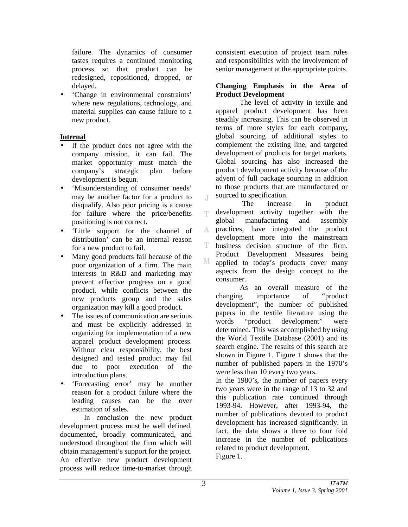failure. The dynamics of consumer tastes requires a continued monitoring process so that product can be redesigned, repositioned, dropped, or delayed.

• 'Change in environmental constraints' where new regulations, technology, and material supplies can cause failure to a new product.

# **Internal**

- If the product does not agree with the company mission, it can fail. The market opportunity must match the company's strategic plan before development is begun.
- 'Misunderstanding of consumer needs' may be another factor for a product to disqualify. Also poor pricing is a cause for failure where the price/benefits positioning is not correct**.**
- 'Little support for the channel of distribution' can be an internal reason for a new product to fail.
- Many good products fail because of the poor organization of a firm. The main interests in R&D and marketing may prevent effective progress on a good product, while conflicts between the new products group and the sales organization may kill a good product.
- The issues of communication are serious and must be explicitly addressed in organizing for implementation of a new apparel product development process. Without clear responsibility, the best designed and tested product may fail due to poor execution of the introduction plans.
- 'Forecasting error' may be another reason for a product failure where the leading causes can be the over estimation of sales.

In conclusion the new product development process must be well defined, documented, broadly communicated, and understood throughout the firm which will obtain management's support for the project. An effective new product development process will reduce time-to-market through

consistent execution of project team roles and responsibilities with the involvement of senior management at the appropriate points.

#### **Changing Emphasis in the Area of Product Development**

The level of activity in textile and apparel product development has been steadily increasing. This can be observed in terms of more styles for each company**,**  global sourcing of additional styles to complement the existing line, and targeted development of products for target markets. Global sourcing has also increased the product development activity because of the advent of full package sourcing in addition to those products that are manufactured or sourced to specification.

 $\overline{A}$ The increase in product development activity together with the T. global manufacturing and assembly practices, have integrated the product A development more into the mainstream T. business decision structure of the firm. Product Development Measures being М applied to today's products cover many aspects from the design concept to the consumer.

 As an overall measure of the changing importance of "product development", the number of published papers in the textile literature using the words "product development" were determined. This was accomplished by using the World Textile Database (2001) and its search engine. The results of this search are shown in Figure 1. Figure 1 shows that the number of published papers in the 1970's were less than 10 every two years.

In the 1980's, the number of papers every two years were in the range of 13 to 32 and this publication rate continued through 1993-94. However, after 1993-94, the number of publications devoted to product development has increased significantly. In fact, the data shows a three to four fold increase in the number of publications related to product development. Figure 1.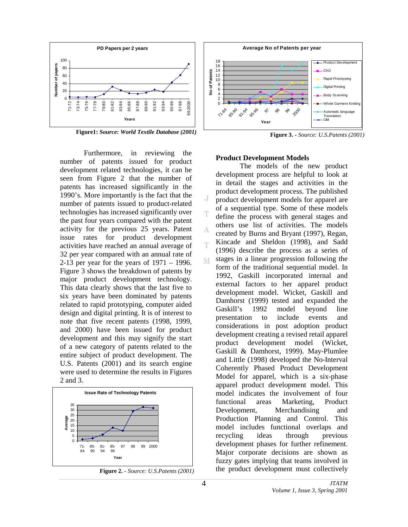

**Figure1:** *Source: World Textile Database (2001)*

 Furthermore, in reviewing the number of patents issued for product development related technologies, it can be seen from Figure 2 that the number of patents has increased significantly in the 1990's. More importantly is the fact that the number of patents issued to product-related technologies has increased significantly over the past four years compared with the patent activity for the previous 25 years. Patent issue rates for product development activities have reached an annual average of 32 per year compared with an annual rate of 2-13 per year for the years of 1971 – 1996. Figure 3 shows the breakdown of patents by major product development technology. This data clearly shows that the last five to six years have been dominated by patents related to rapid prototyping, computer aided design and digital printing. It is of interest to note that five recent patents (1998, 1999, and 2000) have been issued for product development and this may signify the start of a new category of patents related to the entire subject of product development. The U.S. Patents (2001) and its search engine were used to determine the results in Figures 2 and 3.



**Figure 2. -** *Source: U.S.Patents (2001)*



**Figure 3. -** *Source: U.S.Patents (2001)*

#### **Product Development Models**

The models of the new product development process are helpful to look at in detail the stages and activities in the product development process. The published product development models for apparel are of a sequential type. Some of these models define the process with general stages and others use list of activities. The models created by Burns and Bryant (1997), Regan, Kincade and Sheldon (1998), and Sadd (1996) describe the process as a series of stages in a linear progression following the M form of the traditional sequential model. In 1992, Gaskill incorporated internal and external factors to her apparel product development model. Wicket, Gaskill and Damhorst (1999) tested and expanded the Gaskill's 1992 model beyond line presentation to include events and considerations in post adoption product development creating a revised retail apparel product development model (Wicket, Gaskill & Damhorst, 1999). May-Plumlee and Little (1998) developed the No-Interval Coherently Phased Product Development Model for apparel, which is a six-phase apparel product development model. This model indicates the involvement of four functional areas Marketing, Product Development, Merchandising and Production Planning and Control. This model includes functional overlaps and recycling ideas through previous development phases for further refinement. Major corporate decisions are shown as fuzzy gates implying that teams involved in the product development must collectively

J

А

T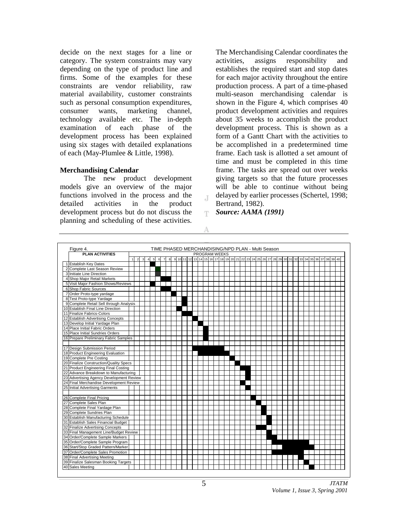decide on the next stages for a line or category. The system constraints may vary depending on the type of product line and firms. Some of the examples for these constraints are vendor reliability, raw material availability, customer constraints such as personal consumption expenditures, consumer wants, marketing channel, technology available etc. The in-depth examination of each phase of the development process has been explained using six stages with detailed explanations of each (May-Plumlee & Little, 1998).

#### **Merchandising Calendar**

The new product development models give an overview of the major functions involved in the process and the detailed activities in the product development process but do not discuss the planning and scheduling of these activities.

The Merchandising Calendar coordinates the activities, assigns responsibility and establishes the required start and stop dates for each major activity throughout the entire production process. A part of a time-phased multi-season merchandising calendar is shown in the Figure 4, which comprises 40 product development activities and requires about 35 weeks to accomplish the product development process. This is shown as a form of a Gantt Chart with the activities to be accomplished in a predetermined time frame. Each task is allotted a set amount of time and must be completed in this time frame. The tasks are spread out over weeks giving targets so that the future processes will be able to continue without being delayed by earlier processes (Schertel, 1998; Bertrand, 1982).

*Source: AAMA (1991)* 



 $\top$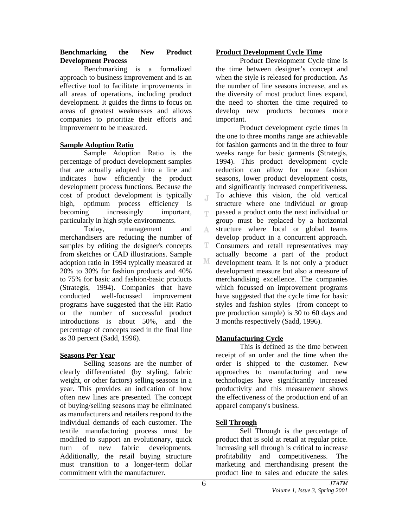#### **Benchmarking the New Product Development Process**

Benchmarking is a formalized approach to business improvement and is an effective tool to facilitate improvements in all areas of operations, including product development. It guides the firms to focus on areas of greatest weaknesses and allows companies to prioritize their efforts and improvement to be measured.

# **Sample Adoption Ratio**

Sample Adoption Ratio is the percentage of product development samples that are actually adopted into a line and indicates how efficiently the product development process functions. Because the cost of product development is typically high, optimum process efficiency is becoming increasingly important, particularly in high style environments.

Today, management and merchandisers are reducing the number of samples by editing the designer's concepts from sketches or CAD illustrations. Sample adoption ratio in 1994 typically measured at 20% to 30% for fashion products and 40% to 75% for basic and fashion-basic products (Strategis, 1994). Companies that have conducted well-focussed improvement programs have suggested that the Hit Ratio or the number of successful product introductions is about 50%, and the percentage of concepts used in the final line as 30 percent (Sadd, 1996).

# **Seasons Per Year**

Selling seasons are the number of clearly differentiated (by styling, fabric weight, or other factors) selling seasons in a year. This provides an indication of how often new lines are presented. The concept of buying/selling seasons may be eliminated as manufacturers and retailers respond to the individual demands of each customer. The textile manufacturing process must be modified to support an evolutionary, quick turn of new fabric developments. Additionally, the retail buying structure must transition to a longer-term dollar commitment with the manufacturer.

# **Product Development Cycle Time**

Product Development Cycle time is the time between designer's concept and when the style is released for production. As the number of line seasons increase, and as the diversity of most product lines expand, the need to shorten the time required to develop new products becomes more important.

Product development cycle times in the one to three months range are achievable for fashion garments and in the three to four weeks range for basic garments (Strategis, 1994). This product development cycle reduction can allow for more fashion seasons, lower product development costs, and significantly increased competitiveness. To achieve this vision, the old vertical  $\mathbb{I}$ structure where one individual or group passed a product onto the next individual or T. group must be replaced by a horizontal structure where local or global teams A. develop product in a concurrent approach. T Consumers and retail representatives may actually become a part of the product М development team. It is not only a product development measure but also a measure of merchandising excellence. The companies which focussed on improvement programs have suggested that the cycle time for basic styles and fashion styles (from concept to pre production sample) is 30 to 60 days and 3 months respectively (Sadd, 1996).

# **Manufacturing Cycle**

This is defined as the time between receipt of an order and the time when the order is shipped to the customer. New approaches to manufacturing and new technologies have significantly increased productivity and this measurement shows the effectiveness of the production end of an apparel company's business.

# **Sell Through**

Sell Through is the percentage of product that is sold at retail at regular price. Increasing sell through is critical to increase profitability and competitiveness. The marketing and merchandising present the product line to sales and educate the sales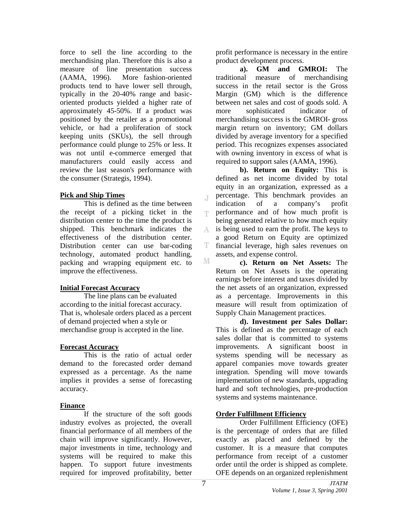force to sell the line according to the merchandising plan. Therefore this is also a measure of line presentation success (AAMA, 1996). More fashion-oriented products tend to have lower sell through, typically in the 20-40% range and basicoriented products yielded a higher rate of approximately 45-50%. If a product was positioned by the retailer as a promotional vehicle, or had a proliferation of stock keeping units (SKUs), the sell through performance could plunge to 25% or less. It was not until e-commerce emerged that manufacturers could easily access and review the last season's performance with the consumer (Strategis, 1994).

#### **Pick and Ship Times**

This is defined as the time between the receipt of a picking ticket in the distribution center to the time the product is shipped. This benchmark indicates the effectiveness of the distribution center. Distribution center can use bar-coding technology, automated product handling, packing and wrapping equipment etc. to improve the effectiveness.

#### **Initial Forecast Accuracy**

The line plans can be evaluated according to the initial forecast accuracy. That is, wholesale orders placed as a percent of demand projected when a style or merchandise group is accepted in the line.

#### **Forecast Accuracy**

This is the ratio of actual order demand to the forecasted order demand expressed as a percentage. As the name implies it provides a sense of forecasting accuracy.

## **Finance**

If the structure of the soft goods industry evolves as projected, the overall financial performance of all members of the chain will improve significantly. However, major investments in time, technology and systems will be required to make this happen. To support future investments required for improved profitability, better

profit performance is necessary in the entire product development process.

**a). GM and GMROI:** The traditional measure of merchandising success in the retail sector is the Gross Margin (GM) which is the difference between net sales and cost of goods sold. A more sophisticated indicator of merchandising success is the GMROI- gross margin return on inventory; GM dollars divided by average inventory for a specified period. This recognizes expenses associated with owning inventory in excess of what is required to support sales (AAMA, 1996).

**b). Return on Equity:** This is defined as net income divided by total equity in an organization, expressed as a percentage. This benchmark provides an  $\mathbb{I}$ indication of a company's profit performance and of how much profit is T. being generated relative to how much equity is being used to earn the profit. The keys to A a good Return on Equity are optimized T. financial leverage, high sales revenues on assets, and expense control. М

**c). Return on Net Assets:** The Return on Net Assets is the operating earnings before interest and taxes divided by the net assets of an organization, expressed as a percentage. Improvements in this measure will result from optimization of Supply Chain Management practices.

**d). Investment per Sales Dollar:** This is defined as the percentage of each sales dollar that is committed to systems improvements. A significant boost in systems spending will be necessary as apparel companies move towards greater integration. Spending will move towards implementation of new standards, upgrading hard and soft technologies, pre-production systems and systems maintenance.

## **Order Fulfillment Efficiency**

Order Fulfillment Efficiency (OFE) is the percentage of orders that are filled exactly as placed and defined by the customer. It is a measure that computes performance from receipt of a customer order until the order is shipped as complete. OFE depends on an organized replenishment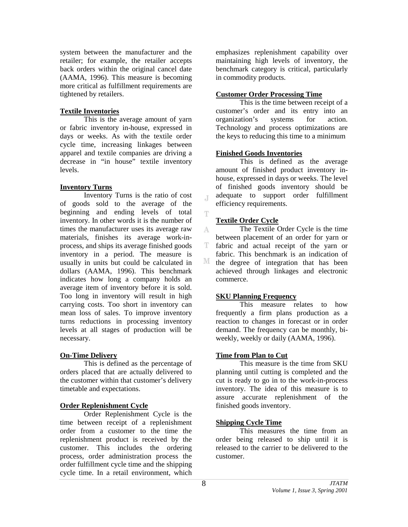system between the manufacturer and the retailer; for example, the retailer accepts back orders within the original cancel date (AAMA, 1996). This measure is becoming more critical as fulfillment requirements are tightened by retailers.

## **Textile Inventories**

This is the average amount of yarn or fabric inventory in-house, expressed in days or weeks. As with the textile order cycle time, increasing linkages between apparel and textile companies are driving a decrease in "in house" textile inventory levels.

## **Inventory Turns**

Inventory Turns is the ratio of cost of goods sold to the average of the beginning and ending levels of total inventory. In other words it is the number of times the manufacturer uses its average raw materials, finishes its average work-inprocess, and ships its average finished goods inventory in a period. The measure is usually in units but could be calculated in dollars (AAMA, 1996). This benchmark indicates how long a company holds an average item of inventory before it is sold. Too long in inventory will result in high carrying costs. Too short in inventory can mean loss of sales. To improve inventory turns reductions in processing inventory levels at all stages of production will be necessary.

## **On-Time Delivery**

This is defined as the percentage of orders placed that are actually delivered to the customer within that customer's delivery timetable and expectations.

## **Order Replenishment Cycle**

Order Replenishment Cycle is the time between receipt of a replenishment order from a customer to the time the replenishment product is received by the customer. This includes the ordering process, order administration process the order fulfillment cycle time and the shipping cycle time. In a retail environment, which

emphasizes replenishment capability over maintaining high levels of inventory, the benchmark category is critical, particularly in commodity products.

#### **Customer Order Processing Time**

This is the time between receipt of a customer's order and its entry into an organization's systems for action. Technology and process optimizations are the keys to reducing this time to a minimum

#### **Finished Goods Inventories**

This is defined as the average amount of finished product inventory inhouse, expressed in days or weeks. The level of finished goods inventory should be adequate to support order fulfillment efficiency requirements.

## **Textile Order Cycle**

 $\mathbb{I}$ 

Ŧ

The Textile Order Cycle is the time A between placement of an order for yarn or T. fabric and actual receipt of the yarn or fabric. This benchmark is an indication of М the degree of integration that has been achieved through linkages and electronic commerce.

## **SKU Planning Frequency**

This measure relates to how frequently a firm plans production as a reaction to changes in forecast or in order demand. The frequency can be monthly, biweekly, weekly or daily (AAMA, 1996).

## **Time from Plan to Cut**

This measure is the time from SKU planning until cutting is completed and the cut is ready to go in to the work-in-process inventory. The idea of this measure is to assure accurate replenishment of the finished goods inventory.

## **Shipping Cycle Time**

 This measures the time from an order being released to ship until it is released to the carrier to be delivered to the customer.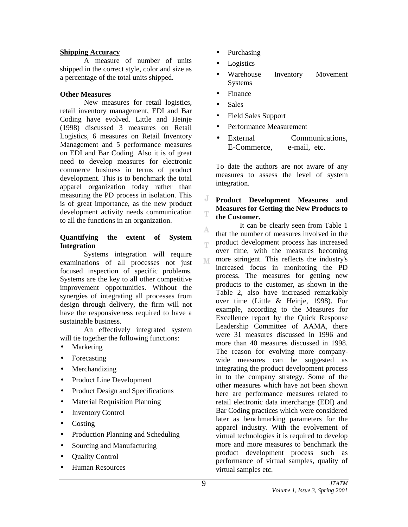#### **Shipping Accuracy**

A measure of number of units shipped in the correct style, color and size as a percentage of the total units shipped.

#### **Other Measures**

New measures for retail logistics, retail inventory management, EDI and Bar Coding have evolved. Little and Heinje (1998) discussed 3 measures on Retail Logistics, 6 measures on Retail Inventory Management and 5 performance measures on EDI and Bar Coding. Also it is of great need to develop measures for electronic commerce business in terms of product development. This is to benchmark the total apparel organization today rather than measuring the PD process in isolation. This is of great importance, as the new product development activity needs communication to all the functions in an organization.

#### **Quantifying the extent of System Integration**

Systems integration will require examinations of all processes not just focused inspection of specific problems. Systems are the key to all other competitive improvement opportunities. Without the synergies of integrating all processes from design through delivery, the firm will not have the responsiveness required to have a sustainable business.

An effectively integrated system will tie together the following functions:

- Marketing
- Forecasting
- **Merchandizing**
- Product Line Development
- Product Design and Specifications
- Material Requisition Planning
- Inventory Control
- Costing
- Production Planning and Scheduling
- Sourcing and Manufacturing
- Quality Control
- Human Resources
- Purchasing
- **Logistics**
- Warehouse Inventory Movement Systems
- Finance
- Sales

A

T

- Field Sales Support
- Performance Measurement
- External Communications. E-Commerce, e-mail, etc.

To date the authors are not aware of any measures to assess the level of system integration.

#### J **Product Development Measures and Measures for Getting the New Products to**  Ŧ **the Customer.**

It can be clearly seen from Table 1 that the number of measures involved in the product development process has increased over time, with the measures becoming more stringent. This reflects the industry's M increased focus in monitoring the PD process. The measures for getting new products to the customer, as shown in the Table 2, also have increased remarkably over time (Little & Heinje, 1998). For example, according to the Measures for Excellence report by the Quick Response Leadership Committee of AAMA, there were 31 measures discussed in 1996 and more than 40 measures discussed in 1998. The reason for evolving more companywide measures can be suggested as integrating the product development process in to the company strategy. Some of the other measures which have not been shown here are performance measures related to retail electronic data interchange (EDI) and Bar Coding practices which were considered later as benchmarking parameters for the apparel industry. With the evolvement of virtual technologies it is required to develop more and more measures to benchmark the product development process such as performance of virtual samples, quality of virtual samples etc.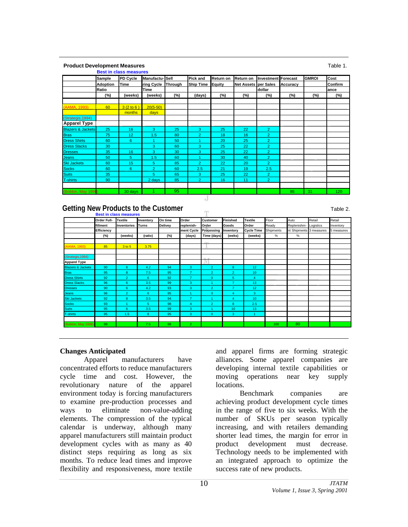**Product Development Measures** Table 1. **Product Development Measures** Table 1. **Best in class measures** Sample **PD Cycle Manufactu- Sell Pick and Return on Return on Investment Forecast GMROI** Cost **Adoption Time ring Cycle Through Ship Time Equity Net Assets per Sales Accuracy Confirm** Ratio **I** Time **decision and Time dollar dollar dollar** ance **(%) (weeks) (weeks) (%) (days) (%) (%) (%) (%) (%) (%)** (AAMA, 1993) 60 3 (2 to 6 ) 20(5-50) months (Strategis,1994) **Apparel Type** Blazers & Jackets 25 16 3 25 3 25 22 2 Bras 19, 12 1.5 80 2 18 16 2 Dress Shirts | 60 | 6 | 1 | 50 | 1 | 20 | 25 | 2 Dress Slacks | 30 | 3 | 3 | 60 | 3 | 25 | 22 | 2 Dresses | 35 | 16 | 3 | 30 | 3 | 25 | 22 | 2 Jeans 1 50 5 1.5 60 1 30 40 2 Ski Jackets | 60 | 15 | 5 | 85 | 2 | 22 | 20 | 2 Socks 60 6 2 60 2.5 21 19 2.5 Suits 1 35 3 5 65 3 25 22 2 T-shirts 90 2 days 85 2 16 11 2 (Bobbin, May 1998) 30 days 1 95 85 31 120

## **Getting New Products to the Customer**

Table 2.

|                              | <b>Order Full-</b><br>fillment<br><b>Efficiency</b><br>$(\%)$ | <b>Textile</b><br>Inventories<br>(weeks) | Inventory<br><b>Turns</b><br>(ratio) | On time<br>Delivey<br>(%) | Order<br>replenish-<br>ment Cycle<br>(days) | <b>Customer</b><br>Order<br>Processing<br>Time (days) | <b>Finished</b><br>Goods<br>Inventory<br>(weks) | Textile<br>Order<br><b>Cycle Time</b><br>(weeks) | Floor<br>Ready<br>Shipments<br>$\%$ | Auto<br>Replenishm-<br>nt Shipments 3 measures<br>$\%$ | Retail<br>Logistics | Retail<br>Inventory<br>5 measures |
|------------------------------|---------------------------------------------------------------|------------------------------------------|--------------------------------------|---------------------------|---------------------------------------------|-------------------------------------------------------|-------------------------------------------------|--------------------------------------------------|-------------------------------------|--------------------------------------------------------|---------------------|-----------------------------------|
|                              |                                                               |                                          |                                      |                           |                                             |                                                       |                                                 |                                                  |                                     |                                                        |                     |                                   |
|                              |                                                               |                                          |                                      |                           |                                             |                                                       |                                                 |                                                  |                                     |                                                        |                     |                                   |
|                              |                                                               |                                          |                                      |                           |                                             |                                                       |                                                 |                                                  |                                     |                                                        |                     |                                   |
|                              |                                                               |                                          |                                      |                           |                                             |                                                       |                                                 |                                                  |                                     |                                                        |                     |                                   |
| (AAMA, 1993)                 | 85                                                            | 3 to 5                                   | 3.75                                 |                           |                                             |                                                       |                                                 |                                                  |                                     |                                                        |                     |                                   |
| (Strategis, 1994)            |                                                               |                                          |                                      |                           |                                             |                                                       |                                                 |                                                  |                                     |                                                        |                     |                                   |
| <b>Apparel Type</b>          |                                                               |                                          |                                      |                           |                                             |                                                       |                                                 |                                                  |                                     |                                                        |                     |                                   |
| <b>Blazers &amp; Jackets</b> | 90                                                            | 6                                        | 4.2                                  | 94                        | 3                                           | $\overline{2}$                                        | 8                                               | 12                                               |                                     |                                                        |                     |                                   |
| <b>Bras</b>                  | 95                                                            | 8                                        | 7.5                                  | 95                        | $\overline{7}$                              | $\overline{2}$                                        | $\overline{2}$                                  | 10                                               |                                     |                                                        |                     |                                   |
| <b>Dress Shirts</b>          | 92                                                            | $\overline{2}$                           | 6                                    | 92                        | $\overline{7}$                              | $\mathbf{0}$                                          | 5                                               | 4                                                |                                     |                                                        |                     |                                   |
| <b>Dress Slacks</b>          | 96                                                            | 6                                        | 3.5                                  | 99                        | 3                                           |                                                       | $\overline{7}$                                  | 13                                               |                                     |                                                        |                     |                                   |
| <b>Dresses</b>               | 90                                                            | 6                                        | 4.2                                  | 93                        | 3                                           | $\overline{2}$                                        | $\overline{7}$                                  | 12                                               |                                     |                                                        |                     |                                   |
| Jeans                        | 96                                                            | $\overline{2}$                           | 6                                    | 95                        | и                                           | $\mathbf{0}$                                          | 4                                               | 3                                                |                                     |                                                        |                     |                                   |
| <b>Ski Jackets</b>           | 92                                                            | 8                                        | 3.5                                  | 94                        | $\mathbf{7}$                                |                                                       | 4                                               | 10                                               |                                     |                                                        |                     |                                   |
| <b>Socks</b>                 | 93                                                            |                                          | 5                                    | 98                        | 4                                           | $\overline{2}$                                        | 8                                               | 2.5                                              |                                     |                                                        |                     |                                   |
| <b>Suits</b>                 | 95                                                            | 6                                        | 3.5                                  | 99                        | 3                                           |                                                       | 10                                              | 13                                               |                                     |                                                        |                     |                                   |
| T-shirts                     | 95                                                            | 1.5                                      | 8                                    | 95                        | 3                                           | $\mathbf{0}$                                          | 3                                               | 1                                                |                                     |                                                        |                     |                                   |
| (Bobbin, May 1998)           | 99                                                            |                                          | 7.5                                  | 99                        | 2 <sup>1</sup>                              |                                                       |                                                 |                                                  | 100                                 | 80                                                     |                     |                                   |

J  $\overline{a}$ 

## **Changes Anticipated**

Apparel manufacturers have concentrated efforts to reduce manufacturers cycle time and cost. However, the revolutionary nature of the apparel environment today is forcing manufacturers to examine pre-production processes and ways to eliminate non-value-adding elements. The compression of the typical calendar is underway, although many apparel manufacturers still maintain product development cycles with as many as 40 distinct steps requiring as long as six months. To reduce lead times and improve flexibility and responsiveness, more textile

and apparel firms are forming strategic alliances. Some apparel companies are developing internal textile capabilities or moving operations near key supply locations.

Benchmark companies are achieving product development cycle times in the range of five to six weeks. With the number of SKUs per season typically increasing, and with retailers demanding shorter lead times, the margin for error in product development must decrease. Technology needs to be implemented with an integrated approach to optimize the success rate of new products.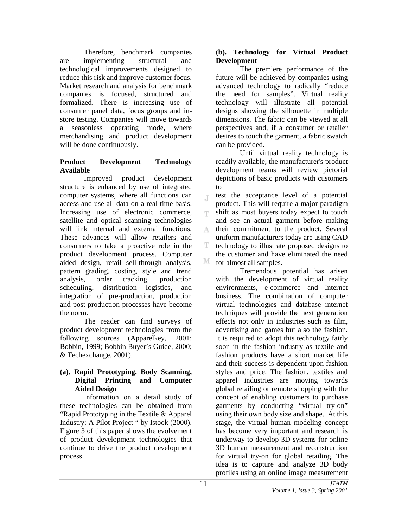Therefore, benchmark companies are implementing structural and technological improvements designed to reduce this risk and improve customer focus. Market research and analysis for benchmark companies is focused, structured and formalized. There is increasing use of consumer panel data, focus groups and instore testing. Companies will move towards a seasonless operating mode, where merchandising and product development will be done continuously.

# **Product Development Technology Available**

Improved product development structure is enhanced by use of integrated computer systems, where all functions can access and use all data on a real time basis. Increasing use of electronic commerce, satellite and optical scanning technologies will link internal and external functions. These advances will allow retailers and consumers to take a proactive role in the product development process. Computer aided design, retail sell-through analysis, pattern grading, costing, style and trend analysis, order tracking, production scheduling, distribution logistics, and integration of pre-production, production and post-production processes have become the norm.

The reader can find surveys of product development technologies from the following sources (Apparelkey, 2001; Bobbin, 1999; Bobbin Buyer's Guide, 2000; & Techexchange, 2001).

# **(a). Rapid Prototyping, Body Scanning, Digital Printing and Computer Aided Design**

Information on a detail study of these technologies can be obtained from "Rapid Prototyping in the Textile & Apparel Industry: A Pilot Project " by Istook (2000). Figure 3 of this paper shows the evolvement of product development technologies that continue to drive the product development process.

# **(b). Technology for Virtual Product Development**

The premiere performance of the future will be achieved by companies using advanced technology to radically "reduce the need for samples". Virtual reality technology will illustrate all potential designs showing the silhouette in multiple dimensions. The fabric can be viewed at all perspectives and, if a consumer or retailer desires to touch the garment, a fabric swatch can be provided.

Until virtual reality technology is readily available, the manufacturer's product development teams will review pictorial depictions of basic products with customers to

test the acceptance level of a potential  $\mathbb{I}$ product. This will require a major paradigm shift as most buyers today expect to touch T and see an actual garment before making their commitment to the product. Several A uniform manufacturers today are using CAD T technology to illustrate proposed designs to the customer and have eliminated the need M for almost all samples.

Tremendous potential has arisen with the development of virtual reality environments, e-commerce and Internet business. The combination of computer virtual technologies and database internet techniques will provide the next generation effects not only in industries such as film, advertising and games but also the fashion. It is required to adopt this technology fairly soon in the fashion industry as textile and fashion products have a short market life and their success is dependent upon fashion styles and price. The fashion, textiles and apparel industries are moving towards global retailing or remote shopping with the concept of enabling customers to purchase garments by conducting "virtual try-on" using their own body size and shape. At this stage, the virtual human modeling concept has become very important and research is underway to develop 3D systems for online 3D human measurement and reconstruction for virtual try-on for global retailing. The idea is to capture and analyze 3D body profiles using an online image measurement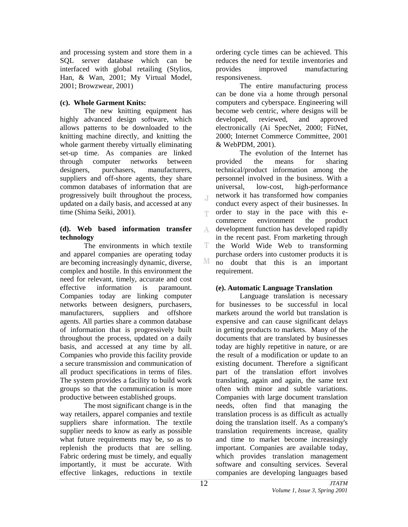and processing system and store them in a SQL server database which can be interfaced with global retailing (Stylios, Han, & Wan, 2001; My Virtual Model, 2001; Browzwear, 2001)

# **(c). Whole Garment Knits:**

The new knitting equipment has highly advanced design software, which allows patterns to be downloaded to the knitting machine directly, and knitting the whole garment thereby virtually eliminating set-up time. As companies are linked through computer networks between designers, purchasers, manufacturers, suppliers and off-shore agents, they share common databases of information that are progressively built throughout the process, updated on a daily basis, and accessed at any time (Shima Seiki, 2001).

## **(d). Web based information transfer technology**

The environments in which textile and apparel companies are operating today are becoming increasingly dynamic, diverse, complex and hostile. In this environment the need for relevant, timely, accurate and cost effective information is paramount. Companies today are linking computer networks between designers, purchasers, manufacturers, suppliers and offshore agents. All parties share a common database of information that is progressively built throughout the process, updated on a daily basis, and accessed at any time by all. Companies who provide this facility provide a secure transmission and communication of all product specifications in terms of files. The system provides a facility to build work groups so that the communication is more productive between established groups.

The most significant change is in the way retailers, apparel companies and textile suppliers share information. The textile supplier needs to know as early as possible what future requirements may be, so as to replenish the products that are selling. Fabric ordering must be timely, and equally importantly, it must be accurate. With effective linkages, reductions in textile

ordering cycle times can be achieved. This reduces the need for textile inventories and provides improved manufacturing responsiveness.

The entire manufacturing process can be done via a home through personal computers and cyberspace. Engineering will become web centric, where designs will be developed, reviewed, and approved electronically (Ai SpecNet, 2000; FitNet, 2000; Internet Commerce Committee, 2001 & WebPDM, 2001).

The evolution of the Internet has provided the means for sharing technical/product information among the personnel involved in the business. With a universal, low-cost, high-performance network it has transformed how companies conduct every aspect of their businesses. In order to stay in the pace with this e-T. commerce environment the product development function has developed rapidly A in the recent past. From marketing through T. the World Wide Web to transforming purchase orders into customer products it is М no doubt that this is an important requirement.

# **(e). Automatic Language Translation**

Language translation is necessary for businesses to be successful in local markets around the world but translation is expensive and can cause significant delays in getting products to markets. Many of the documents that are translated by businesses today are highly repetitive in nature, or are the result of a modification or update to an existing document. Therefore a significant part of the translation effort involves translating, again and again, the same text often with minor and subtle variations. Companies with large document translation needs, often find that managing the translation process is as difficult as actually doing the translation itself. As a company's translation requirements increase, quality and time to market become increasingly important. Companies are available today, which provides translation management software and consulting services. Several companies are developing languages based

 $\overline{A}$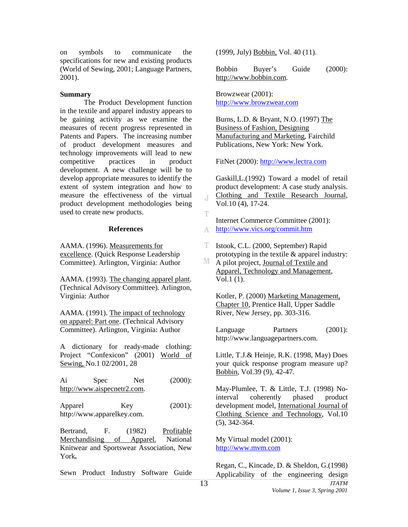on symbols to communicate the specifications for new and existing products (World of Sewing, 2001; Language Partners, 2001).

#### **Summary**

The Product Development function in the textile and apparel industry appears to be gaining activity as we examine the measures of recent progress represented in Patents and Papers. The increasing number of product development measures and technology improvements will lead to new competitive practices in product development. A new challenge will be to develop appropriate measures to identify the extent of system integration and how to measure the effectiveness of the virtual product development methodologies being used to create new products.

#### **References**

AAMA. (1996). Measurements for excellence. (Quick Response Leadership Committee). Arlington, Virginia: Author

AAMA. (1993). The changing apparel plant. (Technical Advisory Committee). Arlington, Virginia: Author

AAMA. (1991). The impact of technology on apparel: Part one. (Technical Advisory Committee). Arlington, Virginia: Author

A dictionary for ready-made clothing: Project "Confexicon" (2001) World of Sewing, No.1 02/2001, 28

Ai Spec Net (2000): [http://www.aispecnetr2.com.](http://www.aispecnetr2.com/)

Apparel Key (2001): http://www.apparelkey.com.

Bertrand, F. (1982) Profitable Merchandising of Apparel. National Knitwear and Sportswear Association, New York**.** 

Sewn Product Industry Software Guide

(1999, July) Bobbin, Vol. 40 (11).

Bobbin Buyer's Guide (2000): [http://www.bobbin.com.](http://www.bobbin.com/BOBBINGROUP/buyers/_bgumain.htm)

Browzwear (2001): [http://www.browzwear.com](http://www.browzwear.com/) 

Burns, L.D. & Bryant, N.O. (1997) The Business of Fashion, Designing Manufacturing and Marketing, Fairchild Publications, New York: New York.

FitNet (2000): [http://www.lectra.com](http://www.lectra.com/) 

Gaskill,L.(1992) Toward a model of retail product development: A case study analysis. Clothing and Textile Research Journal, Vol.10 (4), 17-24.

Internet Commerce Committee (2001): <http://www.vics.org/commit.htm> A

T. Istook, C.L. (2000, September) Rapid prototyping in the textile & apparel industry:

M A pilot project, Journal of Textile and Apparel, Technology and Management, Vol.1 (1).

Kotler, P. (2000) Marketing Management, Chapter 10, Prentice Hall, Upper Saddle River, New Jersey, pp. 303-316.

Language Partners (2001): http://www.languagepartners.com.

Little, T.J.& Heinje, R.K. (1998, May) Does your quick response program measure up? Bobbin, Vol.39 (9), 42-47.

May-Plumlee, T. & Little, T.J. (1998) Nointerval coherently phased product development model, International Journal of Clothing Science and Technology, Vol.10 (5), 342-364.

My Virtual model (2001): [http://www.mvm.com](http://www.mvm.com/) 

Regan, C., Kincade, D. & Sheldon, G.(1998) Applicability of the engineering design

J.

Ŧ